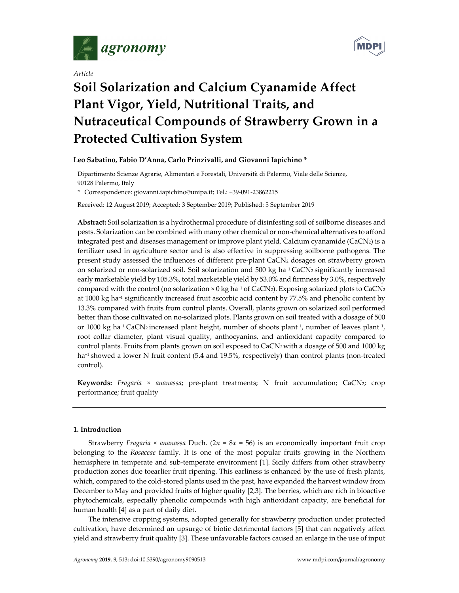

*Article* 



# **Soil Solarization and Calcium Cyanamide Affect Plant Vigor, Yield, Nutritional Traits, and Nutraceutical Compounds of Strawberry Grown in a Protected Cultivation System**

# **Leo Sabatino, Fabio D'Anna, Carlo Prinzivalli, and Giovanni Iapichino \***

Dipartimento Scienze Agrarie, Alimentari e Forestali, Università di Palermo, Viale delle Scienze, 90128 Palermo, Italy

**\*** Correspondence: giovanni.iapichino@unipa.it; Tel.: +39-091-23862215

Received: 12 August 2019; Accepted: 3 September 2019; Published: 5 September 2019

**Abstract:** Soil solarization is a hydrothermal procedure of disinfesting soil of soilborne diseases and pests. Solarization can be combined with many other chemical or non-chemical alternatives to afford integrated pest and diseases management or improve plant yield. Calcium cyanamide (CaCN2) is a fertilizer used in agriculture sector and is also effective in suppressing soilborne pathogens. The present study assessed the influences of different pre-plant CaCN2 dosages on strawberry grown on solarized or non-solarized soil. Soil solarization and 500 kg ha−1 CaCN2 significantly increased early marketable yield by 105.3%, total marketable yield by 53.0% and firmness by 3.0%, respectively compared with the control (no solarization × 0 kg ha<sup>-1</sup> of CaCN<sub>2</sub>). Exposing solarized plots to CaCN<sub>2</sub> at 1000 kg ha−1 significantly increased fruit ascorbic acid content by 77.5% and phenolic content by 13.3% compared with fruits from control plants. Overall, plants grown on solarized soil performed better than those cultivated on no-solarized plots. Plants grown on soil treated with a dosage of 500 or 1000 kg ha−1 CaCN2 increased plant height, number of shoots plant−1, number of leaves plant−1, root collar diameter, plant visual quality, anthocyanins, and antioxidant capacity compared to control plants. Fruits from plants grown on soil exposed to CaCN<sub>2</sub> with a dosage of 500 and 1000 kg ha−1 showed a lower N fruit content (5.4 and 19.5%, respectively) than control plants (non-treated control).

**Keywords:** *Fragaria × ananassa*; pre-plant treatments; N fruit accumulation; CaCN2; crop performance; fruit quality

## **1. Introduction**

Strawberry *Fragaria*  $\times$  *ananassa* Duch. ( $2n = 8x = 56$ ) is an economically important fruit crop belonging to the *Rosaceae* family. It is one of the most popular fruits growing in the Northern hemisphere in temperate and sub-temperate environment [1]. Sicily differs from other strawberry production zones due toearlier fruit ripening. This earliness is enhanced by the use of fresh plants, which, compared to the cold-stored plants used in the past, have expanded the harvest window from December to May and provided fruits of higher quality [2,3]. The berries, which are rich in bioactive phytochemicals, especially phenolic compounds with high antioxidant capacity, are beneficial for human health [4] as a part of daily diet.

The intensive cropping systems, adopted generally for strawberry production under protected cultivation, have determined an upsurge of biotic detrimental factors [5] that can negatively affect yield and strawberry fruit quality [3]. These unfavorable factors caused an enlarge in the use of input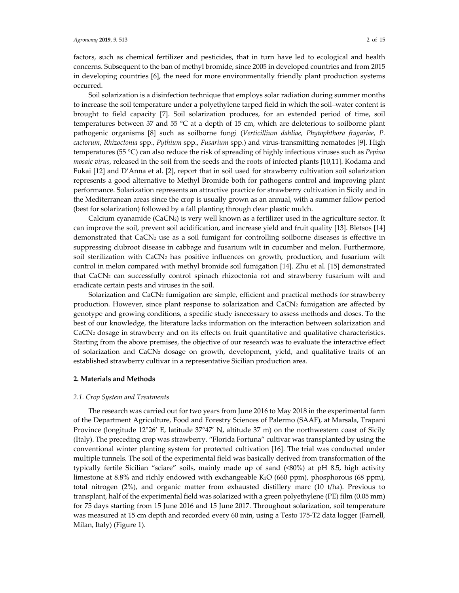factors, such as chemical fertilizer and pesticides, that in turn have led to ecological and health concerns. Subsequent to the ban of methyl bromide, since 2005 in developed countries and from 2015 in developing countries [6], the need for more environmentally friendly plant production systems occurred.

Soil solarization is a disinfection technique that employs solar radiation during summer months to increase the soil temperature under a polyethylene tarped field in which the soil–water content is brought to field capacity [7]. Soil solarization produces, for an extended period of time, soil temperatures between 37 and 55 °C at a depth of 15 cm, which are deleterious to soilborne plant pathogenic organisms [8] such as soilborne fungi (*Verticillium dahliae*, *Phytophthora fragariae*, *P. cactorum*, *Rhizoctonia* spp., *Pythium* spp., *Fusarium* spp.) and virus-transmitting nematodes [9]. High temperatures (55 °C) can also reduce the risk of spreading of highly infectious viruses such as *Pepino mosaic virus*, released in the soil from the seeds and the roots of infected plants [10,11]. Kodama and Fukai [12] and D'Anna et al. [2], report that in soil used for strawberry cultivation soil solarization represents a good alternative to Methyl Bromide both for pathogens control and improving plant performance. Solarization represents an attractive practice for strawberry cultivation in Sicily and in the Mediterranean areas since the crop is usually grown as an annual, with a summer fallow period (best for solarization) followed by a fall planting through clear plastic mulch.

Calcium cyanamide (CaCN2) is very well known as a fertilizer used in the agriculture sector. It can improve the soil, prevent soil acidification, and increase yield and fruit quality [13]. Bletsos [14] demonstrated that CaCN<sub>2</sub> use as a soil fumigant for controlling soilborne diseases is effective in suppressing clubroot disease in cabbage and fusarium wilt in cucumber and melon. Furthermore, soil sterilization with CaCN<sub>2</sub> has positive influences on growth, production, and fusarium wilt control in melon compared with methyl bromide soil fumigation [14]. Zhu et al. [15] demonstrated that CaCN2 can successfully control spinach rhizoctonia rot and strawberry fusarium wilt and eradicate certain pests and viruses in the soil.

Solarization and CaCN2 fumigation are simple, efficient and practical methods for strawberry production. However, since plant response to solarization and CaCN<sub>2</sub> fumigation are affected by genotype and growing conditions, a specific study isnecessary to assess methods and doses. To the best of our knowledge, the literature lacks information on the interaction between solarization and CaCN<sub>2</sub> dosage in strawberry and on its effects on fruit quantitative and qualitative characteristics. Starting from the above premises, the objective of our research was to evaluate the interactive effect of solarization and CaCN2 dosage on growth, development, yield, and qualitative traits of an established strawberry cultivar in a representative Sicilian production area.

#### **2. Materials and Methods**

#### *2.1. Crop System and Treatments*

The research was carried out for two years from June 2016 to May 2018 in the experimental farm of the Department Agriculture, Food and Forestry Sciences of Palermo (SAAF), at Marsala, Trapani Province (longitude 12°26' E, latitude 37°47' N, altitude 37 m) on the northwestern coast of Sicily (Italy). The preceding crop was strawberry. "Florida Fortuna" cultivar was transplanted by using the conventional winter planting system for protected cultivation [16]. The trial was conducted under multiple tunnels. The soil of the experimental field was basically derived from transformation of the typically fertile Sicilian "sciare" soils, mainly made up of sand (<80%) at pH 8.5, high activity limestone at 8.8% and richly endowed with exchangeable K2O (660 ppm), phosphorous (68 ppm), total nitrogen (2%), and organic matter from exhausted distillery marc (10 t/ha). Previous to transplant, half of the experimental field was solarized with a green polyethylene (PE) film (0.05 mm) for 75 days starting from 15 June 2016 and 15 June 2017. Throughout solarization, soil temperature was measured at 15 cm depth and recorded every 60 min, using a Testo 175-T2 data logger (Farnell, Milan, Italy) (Figure 1).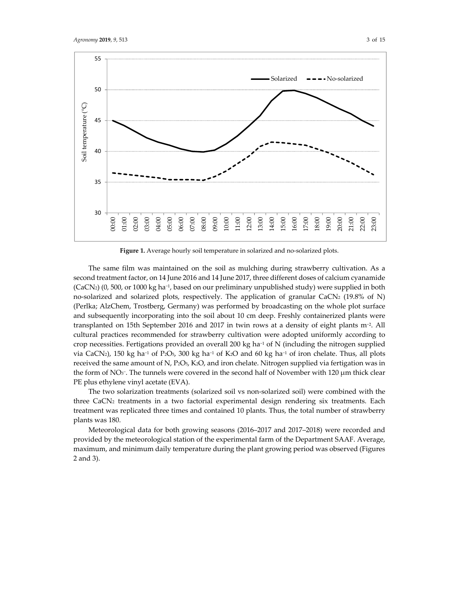

**Figure 1.** Average hourly soil temperature in solarized and no-solarized plots.

The same film was maintained on the soil as mulching during strawberry cultivation. As a second treatment factor, on 14 June 2016 and 14 June 2017, three different doses of calcium cyanamide (CaCN2) (0, 500, or 1000 kg ha−1, based on our preliminary unpublished study) were supplied in both no-solarized and solarized plots, respectively. The application of granular CaCN2 (19.8% of N) (Perlka; AlzChem, Trostberg, Germany) was performed by broadcasting on the whole plot surface and subsequently incorporating into the soil about 10 cm deep. Freshly containerized plants were transplanted on 15th September 2016 and 2017 in twin rows at a density of eight plants m−2. All cultural practices recommended for strawberry cultivation were adopted uniformly according to crop necessities. Fertigations provided an overall 200 kg ha−1 of N (including the nitrogen supplied via CaCN2), 150 kg ha−1 of P2O5, 300 kg ha−1 of K2O and 60 kg ha−1 of iron chelate. Thus, all plots received the same amount of N, P2O5, K2O, and iron chelate. Nitrogen supplied via fertigation was in the form of NO<sub>3</sub><sup>-</sup>. The tunnels were covered in the second half of November with 120 μm thick clear PE plus ethylene vinyl acetate (EVA).

The two solarization treatments (solarized soil vs non-solarized soil) were combined with the three CaCN<sub>2</sub> treatments in a two factorial experimental design rendering six treatments. Each treatment was replicated three times and contained 10 plants. Thus, the total number of strawberry plants was 180.

Meteorological data for both growing seasons (2016–2017 and 2017–2018) were recorded and provided by the meteorological station of the experimental farm of the Department SAAF. Average, maximum, and minimum daily temperature during the plant growing period was observed (Figures 2 and 3).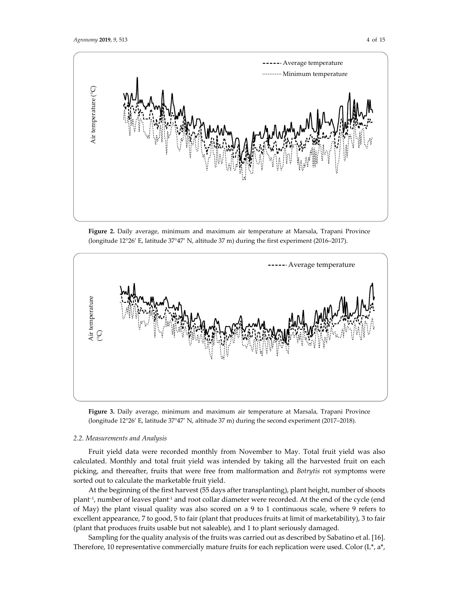

**Figure 2.** Daily average, minimum and maximum air temperature at Marsala, Trapani Province (longitude 12°26' E, latitude 37°47' N, altitude 37 m) during the first experiment (2016–2017).





#### *2.2. Measurements and Analysis*

Fruit yield data were recorded monthly from November to May. Total fruit yield was also calculated. Monthly and total fruit yield was intended by taking all the harvested fruit on each picking, and thereafter, fruits that were free from malformation and *Botrytis* rot symptoms were sorted out to calculate the marketable fruit yield.

At the beginning of the first harvest (55 days after transplanting), plant height, number of shoots plant<sup>-1</sup>, number of leaves plant<sup>-1</sup> and root collar diameter were recorded. At the end of the cycle (end of May) the plant visual quality was also scored on a 9 to 1 continuous scale, where 9 refers to excellent appearance, 7 to good, 5 to fair (plant that produces fruits at limit of marketability), 3 to fair (plant that produces fruits usable but not saleable), and 1 to plant seriously damaged.

Sampling for the quality analysis of the fruits was carried out as described by Sabatino et al. [16]. Therefore, 10 representative commercially mature fruits for each replication were used. Color  $(L^*, a^*,$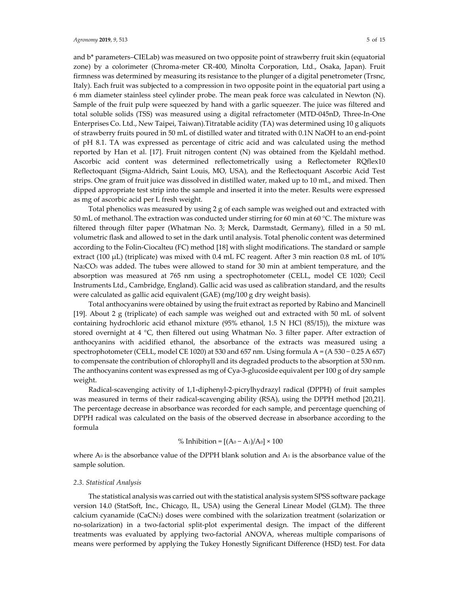and b\* parameters–CIELab) was measured on two opposite point of strawberry fruit skin (equatorial zone) by a colorimeter (Chroma-meter CR-400, Minolta Corporation, Ltd., Osaka, Japan). Fruit firmness was determined by measuring its resistance to the plunger of a digital penetrometer (Trsnc, Italy). Each fruit was subjected to a compression in two opposite point in the equatorial part using a 6 mm diameter stainless steel cylinder probe. The mean peak force was calculated in Newton (N). Sample of the fruit pulp were squeezed by hand with a garlic squeezer. The juice was filtered and total soluble solids (TSS) was measured using a digital refractometer (MTD-045nD, Three-In-One Enterprises Co. Ltd., New Taipei, Taiwan).Titratable acidity (TA) was determined using 10 g aliquots of strawberry fruits poured in 50 mL of distilled water and titrated with 0.1N NaOH to an end-point of pH 8.1. TA was expressed as percentage of citric acid and was calculated using the method reported by Han et al. [17]. Fruit nitrogen content (N) was obtained from the Kjeldahl method. Ascorbic acid content was determined reflectometrically using a Reflectometer RQflex10 Reflectoquant (Sigma-Aldrich, Saint Louis, MO, USA), and the Reflectoquant Ascorbic Acid Test strips. One gram of fruit juice was dissolved in distilled water, maked up to 10 mL, and mixed. Then dipped appropriate test strip into the sample and inserted it into the meter. Results were expressed as mg of ascorbic acid per L fresh weight.

Total phenolics was measured by using 2 g of each sample was weighed out and extracted with 50 mL of methanol. The extraction was conducted under stirring for 60 min at 60 °C. The mixture was filtered through filter paper (Whatman No. 3; Merck, Darmstadt, Germany), filled in a 50 mL volumetric flask and allowed to set in the dark until analysis. Total phenolic content was determined according to the Folin-Ciocalteu (FC) method [18] with slight modifications. The standard or sample extract (100  $\mu$ L) (triplicate) was mixed with 0.4 mL FC reagent. After 3 min reaction 0.8 mL of 10% Na<sub>2</sub>CO<sub>3</sub> was added. The tubes were allowed to stand for 30 min at ambient temperature, and the absorption was measured at 765 nm using a spectrophotometer (CELL, model CE 1020; Cecil Instruments Ltd., Cambridge, England). Gallic acid was used as calibration standard, and the results were calculated as gallic acid equivalent (GAE) (mg/100 g dry weight basis).

Total anthocyanins were obtained by using the fruit extract as reported by Rabino and Mancinell [19]. About 2 g (triplicate) of each sample was weighed out and extracted with 50 mL of solvent containing hydrochloric acid ethanol mixture (95% ethanol, 1.5 N HCl (85/15)), the mixture was stored overnight at 4 °C, then filtered out using Whatman No. 3 filter paper. After extraction of anthocyanins with acidified ethanol, the absorbance of the extracts was measured using a spectrophotometer (CELL, model CE 1020) at 530 and 657 nm. Using formula A = (A 530 – 0.25 A 657) to compensate the contribution of chlorophyll and its degraded products to the absorption at 530 nm. The anthocyanins content was expressed as mg of Cya-3-glucoside equivalent per 100 g of dry sample weight.

Radical-scavenging activity of 1,1-diphenyl-2-picrylhydrazyl radical (DPPH) of fruit samples was measured in terms of their radical-scavenging ability (RSA), using the DPPH method [20,21]. The percentage decrease in absorbance was recorded for each sample, and percentage quenching of DPPH radical was calculated on the basis of the observed decrease in absorbance according to the formula

## % Inhibition =  $[(A_0 - A_1)/A_0] \times 100$

where  $A_0$  is the absorbance value of the DPPH blank solution and  $A_1$  is the absorbance value of the sample solution.

#### *2.3. Statistical Analysis*

The statistical analysis was carried out with the statistical analysis system SPSS software package version 14.0 (StatSoft, Inc., Chicago, IL, USA) using the General Linear Model (GLM). The three calcium cyanamide (CaCN2) doses were combined with the solarization treatment (solarization or no-solarization) in a two-factorial split-plot experimental design. The impact of the different treatments was evaluated by applying two-factorial ANOVA, whereas multiple comparisons of means were performed by applying the Tukey Honestly Significant Difference (HSD) test. For data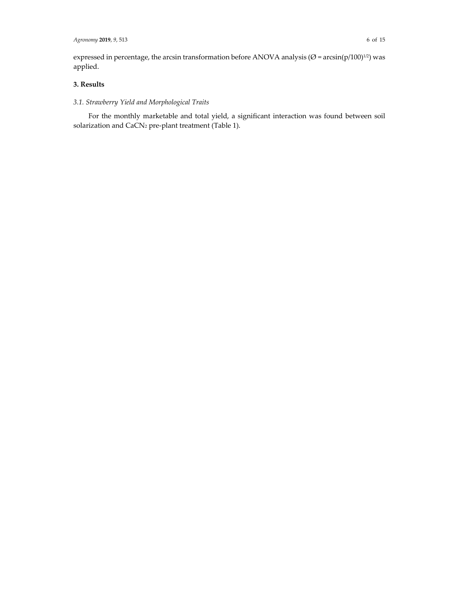expressed in percentage, the arcsin transformation before ANOVA analysis ( $\varnothing$  = arcsin(p/100)<sup>1/2</sup>) was applied.

# **3. Results**

# *3.1. Strawberry Yield and Morphological Traits*

For the monthly marketable and total yield, a significant interaction was found between soil solarization and CaCN2 pre-plant treatment (Table 1).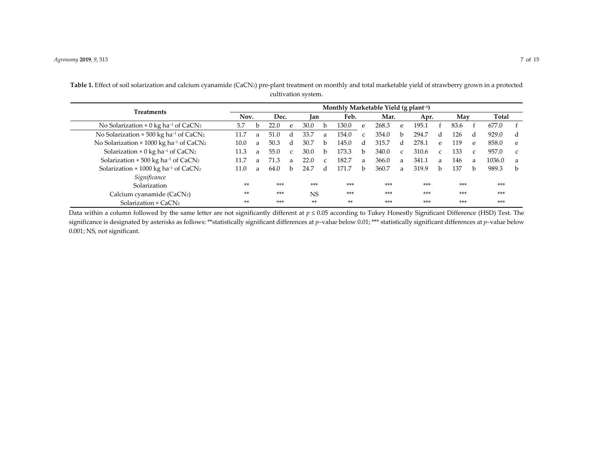| Treatments                                                          | Monthly Marketable Yield (g plant <sup>-1</sup> ) |   |       |              |           |               |       |              |       |               |       |               |       |              |        |               |
|---------------------------------------------------------------------|---------------------------------------------------|---|-------|--------------|-----------|---------------|-------|--------------|-------|---------------|-------|---------------|-------|--------------|--------|---------------|
|                                                                     | Nov.                                              |   | Dec.  |              | lan       |               | Feb.  |              | Mar.  |               | Apr.  |               | May   |              | Total  |               |
| No Solarization $\times$ 0 kg ha <sup>-1</sup> of CaCN <sub>2</sub> | 5.7                                               | h | 22.0  | $\mathbf{e}$ | 30.0      | b             | 130.0 | $\mathbf{e}$ | 268.3 | e             | 195.1 |               | 83.6  |              | 677.0  |               |
| No Solarization × 500 kg ha <sup>-1</sup> of CaCN <sub>2</sub>      | 11.7                                              | a | 51.0  | d            | 33.7      | a             | 154.0 |              | 354.0 | b.            | 294.7 | d             | 126   | d            | 929.0  | d             |
| No Solarization × 1000 kg ha <sup>-1</sup> of CaCN <sub>2</sub>     | 10.0                                              | a | 50.3  | d            | 30.7      | b.            | 145.0 | d            | 315.7 | d             | 278.1 | e             | 119   | e            | 858.0  | e             |
| Solarization $\times$ 0 kg ha <sup>-1</sup> of CaCN <sub>2</sub>    | 11.3                                              | a | 55.0  | $\mathbf{C}$ | 30.0      | b.            | 173.3 | h            | 340.0 | $\mathcal{C}$ | 310.6 | $\mathcal{C}$ | 133   | $\epsilon$   | 957.0  | $\mathcal{C}$ |
| Solarization $\times$ 500 kg ha <sup>-1</sup> of CaCN <sub>2</sub>  | 11.7                                              | a | 71.3  | a            | 22.0      | $\mathcal{C}$ | 182.7 | a            | 366.0 | a.            | 341.1 | a             | 146   | a            | 1036.0 | a             |
| Solarization $\times$ 1000 kg ha <sup>-1</sup> of CaCN <sub>2</sub> | 11.0                                              | a | 64.0  | <sub>b</sub> | 24.7      | d             | 171.7 | <sub>h</sub> | 360.7 | a             | 319.9 | b.            | 137   | <sub>h</sub> | 989.3  | b             |
| Significance                                                        |                                                   |   |       |              |           |               |       |              |       |               |       |               |       |              |        |               |
| Solarization                                                        | $**$                                              |   | $***$ |              | $***$     |               | $***$ |              | $***$ |               | $***$ |               | $***$ |              | $***$  |               |
| Calcium cyanamide (CaCN2)                                           | $**$                                              |   | $***$ |              | <b>NS</b> |               | $***$ |              | $***$ |               | $***$ |               | $***$ |              | $***$  |               |
| Solarization $\times$ CaCN <sub>2</sub>                             | $**$                                              |   | $***$ |              | **        |               | **    |              | $***$ |               | $***$ |               | $***$ |              | $***$  |               |

**Table 1.** Effect of soil solarization and calcium cyanamide (CaCN2) pre-plant treatment on monthly and total marketable yield of strawberry grown in a protected cultivation system.

Data within a column followed by the same letter are not significantly different at *p* <sup>≤</sup> 0.05 according to Tukey Honestly Significant Difference (HSD) Test. The significance is designated by asterisks as follows: \*\*statistically significant differences at *p*–value below 0.01; \*\*\* statistically significant differences at *p*–value below 0.001; NS, not significant.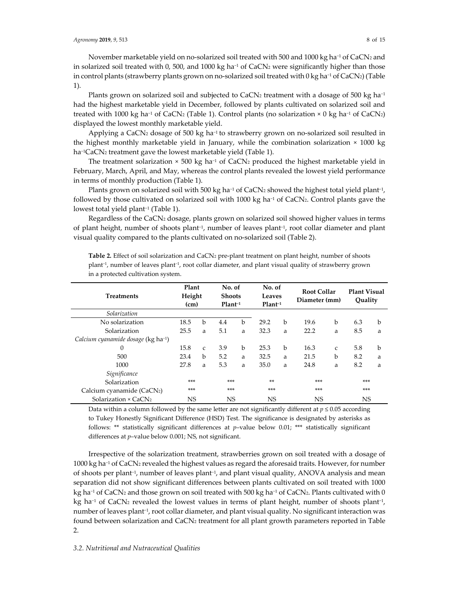November marketable yield on no-solarized soil treated with 500 and 1000 kg ha<sup>-1</sup> of CaCN2 and in solarized soil treated with 0, 500, and 1000 kg ha−1 of CaCN2 were significantly higher than those in control plants (strawberry plants grown on no-solarized soil treated with 0 kg ha−1 of CaCN2) (Table 1).

Plants grown on solarized soil and subjected to CaCN<sub>2</sub> treatment with a dosage of 500 kg ha<sup>-1</sup> had the highest marketable yield in December, followed by plants cultivated on solarized soil and treated with 1000 kg ha<sup>-1</sup> of CaCN<sub>2</sub> (Table 1). Control plants (no solarization × 0 kg ha<sup>-1</sup> of CaCN<sub>2</sub>) displayed the lowest monthly marketable yield.

Applying a CaCN2 dosage of 500 kg ha−1 to strawberry grown on no-solarized soil resulted in the highest monthly marketable yield in January, while the combination solarization  $\times$  1000 kg ha<sup>-1</sup>CaCN2 treatment gave the lowest marketable yield (Table 1).

The treatment solarization  $\times$  500 kg ha<sup>-1</sup> of CaCN<sub>2</sub> produced the highest marketable yield in February, March, April, and May, whereas the control plants revealed the lowest yield performance in terms of monthly production (Table 1).

Plants grown on solarized soil with 500 kg ha<sup>-1</sup> of CaCN<sub>2</sub> showed the highest total yield plant<sup>-1</sup>, followed by those cultivated on solarized soil with 1000 kg ha−1 of CaCN2. Control plants gave the lowest total yield plant−1 (Table 1).

Regardless of the CaCN2 dosage, plants grown on solarized soil showed higher values in terms of plant height, number of shoots plant−1, number of leaves plant−1, root collar diameter and plant visual quality compared to the plants cultivated on no-solarized soil (Table 2).

| <b>Treatments</b>                               | Plant<br>Height<br>(cm) |              | No. of<br><b>Shoots</b><br>$Plant-1$ |             | No. of<br>Leaves<br>$Plant-1$ |   | <b>Root Collar</b><br>Diameter (mm) |               | Plant Visual<br>Ouality |   |
|-------------------------------------------------|-------------------------|--------------|--------------------------------------|-------------|-------------------------------|---|-------------------------------------|---------------|-------------------------|---|
| Solarization                                    |                         |              |                                      |             |                               |   |                                     |               |                         |   |
| No solarization                                 | 18.5                    | b            | 4.4                                  | $\mathbf b$ | 29.2                          | b | 19.6                                | b             | 6.3                     | b |
| Solarization                                    | 25.5                    | a            | 5.1                                  | a           | 32.3                          | a | 22.2                                | a             | 8.5                     | a |
| Calcium cyanamide dosage (kg ha <sup>-1</sup> ) |                         |              |                                      |             |                               |   |                                     |               |                         |   |
| 0                                               | 15.8                    | $\mathsf{C}$ | 3.9                                  | b           | 25.3                          | b | 16.3                                | $\mathcal{C}$ | 5.8                     | b |
| 500                                             | 23.4                    | b            | 5.2                                  | a           | 32.5                          | a | 21.5                                | b             | 8.2                     | a |
| 1000                                            | 27.8                    | a            | 5.3                                  | a           | 35.0                          | a | 24.8                                | a             | 8.2                     | a |
| Significance                                    |                         |              |                                      |             |                               |   |                                     |               |                         |   |
| Solarization                                    | $***$                   |              | $***$                                |             | $**$                          |   | $***$                               |               | ***                     |   |
| Calcium cyanamide (CaCN2)                       | $***$                   |              | ***                                  |             | $***$                         |   | $***$                               |               | ***                     |   |
| Solarization $\times$ CaCN <sub>2</sub>         | <b>NS</b>               |              | <b>NS</b>                            |             | <b>NS</b>                     |   | <b>NS</b>                           | NS            |                         |   |

**Table 2.** Effect of soil solarization and CaCN2 pre-plant treatment on plant height, number of shoots plant−1, number of leaves plant−1, root collar diameter, and plant visual quality of strawberry grown in a protected cultivation system.

Data within a column followed by the same letter are not significantly different at *p* ≤ 0.05 according to Tukey Honestly Significant Difference (HSD) Test. The significance is designated by asterisks as follows: \*\* statistically significant differences at *p*–value below 0.01; \*\*\* statistically significant differences at *p*–value below 0.001; NS, not significant.

Irrespective of the solarization treatment, strawberries grown on soil treated with a dosage of 1000 kg ha−1 of CaCN2 revealed the highest values as regard the aforesaid traits. However, for number of shoots per plant−1, number of leaves plant−1, and plant visual quality, ANOVA analysis and mean separation did not show significant differences between plants cultivated on soil treated with 1000 kg ha<sup>-1</sup> of CaCN<sub>2</sub> and those grown on soil treated with 500 kg ha<sup>-1</sup> of CaCN<sub>2</sub>. Plants cultivated with 0 kg ha<sup>-1</sup> of CaCN<sub>2</sub> revealed the lowest values in terms of plant height, number of shoots plant<sup>-1</sup>, number of leaves plant<sup>-1</sup>, root collar diameter, and plant visual quality. No significant interaction was found between solarization and CaCN2 treatment for all plant growth parameters reported in Table 2.

## *3.2. Nutritional and Nutraceutical Qualities*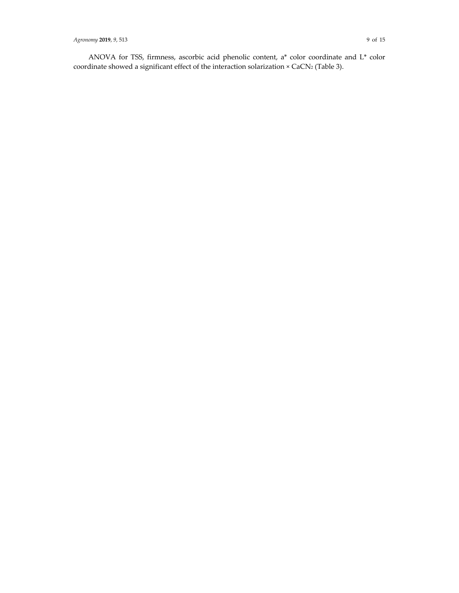ANOVA for TSS, firmness, ascorbic acid phenolic content, a\* color coordinate and L\* color coordinate showed a significant effect of the interaction solarization × CaCN2 (Table 3).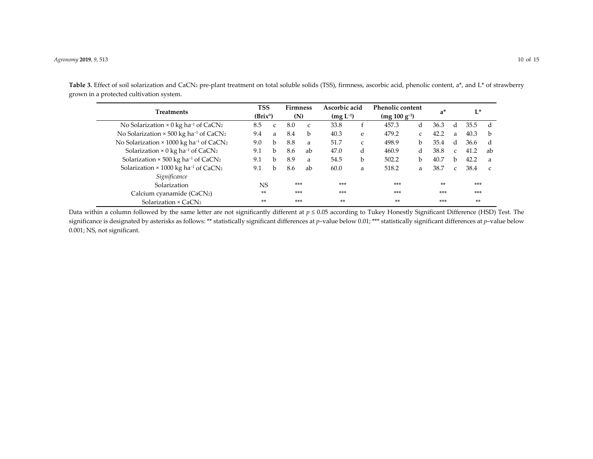Table 3. Effect of soil solarization and CaCN<sub>2</sub> pre-plant treatment on total soluble solids (TSS), firmness, ascorbic acid, phenolic content, a\*, and L\* of strawberry grown in a protected cultivation system.

|                                                                        |     | TSS                  |       | <b>Firmness</b> | Ascorbic acid |   | Phenolic content  |               | $a^*$ |               | L*    |               |
|------------------------------------------------------------------------|-----|----------------------|-------|-----------------|---------------|---|-------------------|---------------|-------|---------------|-------|---------------|
| <b>Treatments</b>                                                      |     | (Brix <sup>o</sup> ) |       | (N)             | $(mg L^{-1})$ |   | $(mg 100 g^{-1})$ |               |       |               |       |               |
| No Solarization $\times$ 0 kg ha <sup>-1</sup> of CaCN <sub>2</sub>    | 8.5 | $\mathcal{C}$        | 8.0   | $\mathbf{C}$    | 33.8          |   | 457.3             | d             | 36.3  | d             | 35.5  | d             |
| No Solarization $\times$ 500 kg ha <sup>-1</sup> of CaCN <sub>2</sub>  | 9.4 | a                    | 8.4   | b               | 40.3          | e | 479.2             | $\mathcal{C}$ | 42.2  | a             | 40.3  | b             |
| No Solarization $\times$ 1000 kg ha <sup>-1</sup> of CaCN <sub>2</sub> | 9.0 | b.                   | 8.8   | a               | 51.7          | C | 498.9             | b.            | 35.4  | d             | 36.6  | d             |
| Solarization $\times$ 0 kg ha <sup>-1</sup> of CaCN <sub>2</sub>       | 9.1 | b.                   | 8.6   | ab              | 47.0          | d | 460.9             | d             | 38.8  | $\mathcal{C}$ | 41.2  | ab            |
| Solarization $\times$ 500 kg ha <sup>-1</sup> of CaCN <sub>2</sub>     | 9.1 | b                    | 8.9   | a               | 54.5          | b | 502.2             | b             | 40.7  | b.            | 42.2  | a             |
| Solarization $\times$ 1000 kg ha <sup>-1</sup> of CaCN <sub>2</sub>    | 9.1 | b.                   | 8.6   | ab              | 60.0          | a | 518.2             | a             | 38.7  | $\mathcal{C}$ | 38.4  | $\mathcal{C}$ |
| Significance                                                           |     |                      |       |                 |               |   |                   |               |       |               |       |               |
| Solarization                                                           | NS. |                      | $***$ |                 | ***           |   | $***$             |               | $**$  |               | $***$ |               |
| Calcium cyanamide (CaCN2)                                              | **  |                      | ***   |                 | $***$         |   | $***$             |               | ***   |               | $***$ |               |
| Solarization $\times$ CaCN <sub>2</sub>                                | **  |                      | ***   |                 | **            |   | $**$              |               | ***   |               | **    |               |

Data within a column followed by the same letter are not significantly different at *p* <sup>≤</sup> 0.05 according to Tukey Honestly Significant Difference (HSD) Test. The significance is designated by asterisks as follows: \*\* statistically significant differences at *p*–value below 0.01; \*\*\* statistically significant differences at *p*–value below 0.001; NS, not significant.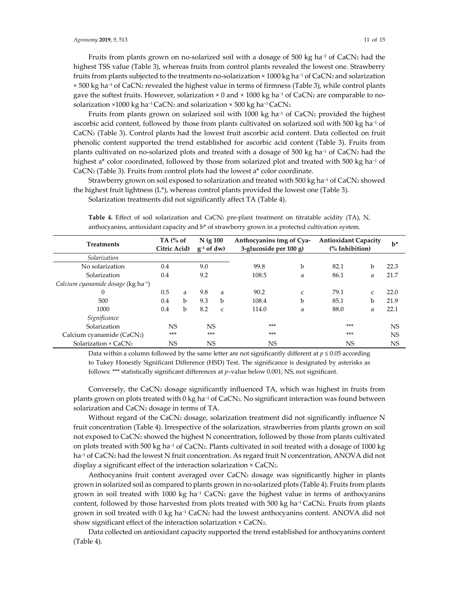Fruits from plants grown on no-solarized soil with a dosage of 500 kg ha−2 of CaCN2 had the highest TSS value (Table 3), whereas fruits from control plants revealed the lowest one. Strawberry fruits from plants subjected to the treatments no-solarization × 1000 kg ha−1 of CaCN2 and solarization × 500 kg ha−1 of CaCN2 revealed the highest value in terms of firmness (Table 3), while control plants gave the softest fruits. However, solarization  $\times$  0 and  $\times$  1000 kg ha<sup>-1</sup> of CaCN<sub>2</sub> are comparable to nosolarization ×1000 kg ha<sup>-1</sup> CaCN<sub>2</sub> and solarization × 500 kg ha<sup>-1</sup> CaCN<sub>2</sub>.

Fruits from plants grown on solarized soil with 1000 kg ha<sup>-1</sup> of CaCN<sub>2</sub> provided the highest ascorbic acid content, followed by those from plants cultivated on solarized soil with 500 kg ha−1 of CaCN2 (Table 3). Control plants had the lowest fruit ascorbic acid content. Data collected on fruit phenolic content supported the trend established for ascorbic acid content (Table 3). Fruits from plants cultivated on no-solarized plots and treated with a dosage of 500 kg ha<sup>-1</sup> of CaCN2 had the highest a<sup>\*</sup> color coordinated, followed by those from solarized plot and treated with 500 kg ha<sup>-1</sup> of CaCN2 (Table 3). Fruits from control plots had the lowest a\* color coordinate.

Strawberry grown on soil exposed to solarization and treated with 500 kg ha<sup>-1</sup> of CaCN2 showed the highest fruit lightness  $(L^*)$ , whereas control plants provided the lowest one (Table 3).

Solarization treatments did not significantly affect TA (Table 4).

| <b>Treatments</b>                               | TA $\left(\% \right)$ of<br>Citric Acid) |   | $N$ (g 100<br>$g^{-1}$ of dw) |               | Anthocyanins (mg of Cya-<br>3-glucoside per 100 g) | <b>Antioxidant Capacity</b><br>$\frac{6}{6}$ Inhibition) | $b^*$ |               |      |  |
|-------------------------------------------------|------------------------------------------|---|-------------------------------|---------------|----------------------------------------------------|----------------------------------------------------------|-------|---------------|------|--|
| Solarization                                    |                                          |   |                               |               |                                                    |                                                          |       |               |      |  |
| No solarization                                 | 0.4                                      |   | 9.0                           |               | 99.8                                               | b                                                        | 82.1  | b             | 22.3 |  |
| Solarization                                    | 0.4                                      |   | 9.2                           |               | 108.5                                              | a                                                        | 86.1  | a             | 21.7 |  |
| Calcium cyanamide dosage (kg ha <sup>-1</sup> ) |                                          |   |                               |               |                                                    |                                                          |       |               |      |  |
| $\mathbf{0}$                                    | 0.5                                      | a | 9.8                           | a             | 90.2                                               | $\mathsf{C}$                                             | 79.1  | $\mathcal{C}$ | 22.0 |  |
| 500                                             | 0.4                                      | b | 9.3                           | b             | 108.4                                              | b                                                        | 85.1  | b             | 21.9 |  |
| 1000                                            | 0.4                                      | b | 8.2                           | $\mathcal{C}$ | 114.0                                              | a                                                        | 88.0  | a             | 22.1 |  |
| Significance                                    |                                          |   |                               |               |                                                    |                                                          |       |               |      |  |
| Solarization                                    | <b>NS</b>                                |   | <b>NS</b>                     |               | $***$                                              |                                                          | $***$ | <b>NS</b>     |      |  |
| Calcium cyanamide (CaCN2)                       | $***$                                    |   |                               | $***$         | ***                                                |                                                          | $***$ | <b>NS</b>     |      |  |
| Solarization $\times$ CaCN <sub>2</sub>         | <b>NS</b>                                |   | NS                            |               | NS                                                 |                                                          | NS    |               | NS   |  |

Table 4. Effect of soil solarization and CaCN<sub>2</sub> pre-plant treatment on titratable acidity (TA), N, anthocyanins, antioxidant capacity and b\* of strawberry grown in a protected cultivation system.

Data within a column followed by the same letter are not significantly different at  $p \le 0.05$  according to Tukey Honestly Significant Difference (HSD) Test. The significance is designated by asterisks as follows: \*\*\* statistically significant differences at *p*–value below 0.001; NS, not significant.

Conversely, the CaCN2 dosage significantly influenced TA, which was highest in fruits from plants grown on plots treated with 0 kg ha<sup>-1</sup> of CaCN2. No significant interaction was found between solarization and CaCN2 dosage in terms of TA.

Without regard of the CaCN2 dosage, solarization treatment did not significantly influence N fruit concentration (Table 4). Irrespective of the solarization, strawberries from plants grown on soil not exposed to CaCN2 showed the highest N concentration, followed by those from plants cultivated on plots treated with 500 kg ha−1 of CaCN2. Plants cultivated in soil treated with a dosage of 1000 kg ha<sup>-1</sup> of CaCN<sub>2</sub> had the lowest N fruit concentration. As regard fruit N concentration, ANOVA did not display a significant effect of the interaction solarization × CaCN2.

Anthocyanins fruit content averaged over  $CaCN<sub>2</sub>$  dosage was significantly higher in plants grown in solarized soil as compared to plants grown in no-solarized plots (Table 4). Fruits from plants grown in soil treated with 1000 kg ha<sup>-1</sup> CaCN<sub>2</sub> gave the highest value in terms of anthocyanins content, followed by those harvested from plots treated with 500 kg ha−1 CaCN2. Fruits from plants grown in soil treated with 0 kg ha−1 CaCN2 had the lowest anthocyanins content. ANOVA did not show significant effect of the interaction solarization × CaCN2.

Data collected on antioxidant capacity supported the trend established for anthocyanins content (Table 4).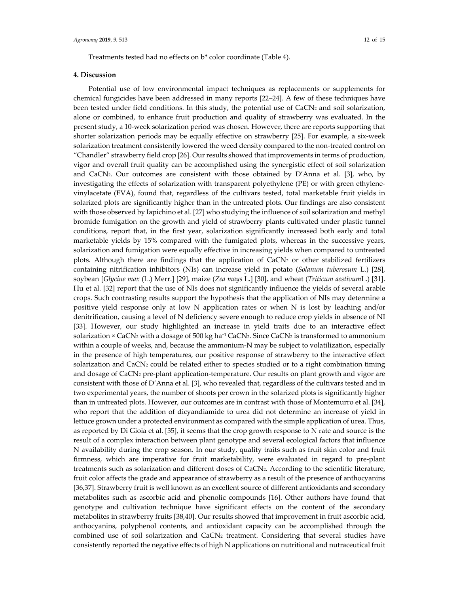Treatments tested had no effects on b\* color coordinate (Table 4).

### **4. Discussion**

Potential use of low environmental impact techniques as replacements or supplements for chemical fungicides have been addressed in many reports [22–24]. A few of these techniques have been tested under field conditions. In this study, the potential use of  $CaCN<sub>2</sub>$  and soil solarization, alone or combined, to enhance fruit production and quality of strawberry was evaluated. In the present study, a 10-week solarization period was chosen. However, there are reports supporting that shorter solarization periods may be equally effective on strawberry [25]. For example, a six-week solarization treatment consistently lowered the weed density compared to the non-treated control on "Chandler" strawberry field crop [26]. Our results showed that improvements in terms of production, vigor and overall fruit quality can be accomplished using the synergistic effect of soil solarization and CaCN<sub>2</sub>. Our outcomes are consistent with those obtained by D'Anna et al. [3], who, by investigating the effects of solarization with transparent polyethylene (PE) or with green ethylenevinylacetate (EVA), found that, regardless of the cultivars tested, total marketable fruit yields in solarized plots are significantly higher than in the untreated plots. Our findings are also consistent with those observed by Iapichino et al. [27] who studying the influence of soil solarization and methyl bromide fumigation on the growth and yield of strawberry plants cultivated under plastic tunnel conditions, report that, in the first year, solarization significantly increased both early and total marketable yields by 15% compared with the fumigated plots, whereas in the successive years, solarization and fumigation were equally effective in increasing yields when compared to untreated plots. Although there are findings that the application of  $CaCN<sub>2</sub>$  or other stabilized fertilizers containing nitrification inhibitors (NIs) can increase yield in potato (*Solanum tuberosum* L.) [28], soybean [*Glycine max* (L.) Merr.] [29], maize (*Zea mays* L.] [30], and wheat (*Triticum aestivum*L.) [31]. Hu et al. [32] report that the use of NIs does not significantly influence the yields of several arable crops. Such contrasting results support the hypothesis that the application of NIs may determine a positive yield response only at low N application rates or when N is lost by leaching and/or denitrification, causing a level of N deficiency severe enough to reduce crop yields in absence of NI [33]. However, our study highlighted an increase in yield traits due to an interactive effect solarization × CaCN2 with a dosage of 500 kg ha<sup>-1</sup> CaCN2. Since CaCN2 is transformed to ammonium within a couple of weeks, and, because the ammonium-N may be subject to volatilization, especially in the presence of high temperatures, our positive response of strawberry to the interactive effect solarization and  $CaCN<sub>2</sub>$  could be related either to species studied or to a right combination timing and dosage of CaCN<sub>2</sub> pre-plant application-temperature. Our results on plant growth and vigor are consistent with those of D'Anna et al. [3], who revealed that, regardless of the cultivars tested and in two experimental years, the number of shoots per crown in the solarized plots is significantly higher than in untreated plots. However, our outcomes are in contrast with those of Montemurro et al. [34], who report that the addition of dicyandiamide to urea did not determine an increase of yield in lettuce grown under a protected environment as compared with the simple application of urea. Thus, as reported by Di Gioia et al. [35], it seems that the crop growth response to N rate and source is the result of a complex interaction between plant genotype and several ecological factors that influence N availability during the crop season. In our study, quality traits such as fruit skin color and fruit firmness, which are imperative for fruit marketability, were evaluated in regard to pre-plant treatments such as solarization and different doses of CaCN2. According to the scientific literature, fruit color affects the grade and appearance of strawberry as a result of the presence of anthocyanins [36,37]. Strawberry fruit is well known as an excellent source of different antioxidants and secondary metabolites such as ascorbic acid and phenolic compounds [16]. Other authors have found that genotype and cultivation technique have significant effects on the content of the secondary metabolites in strawberry fruits [38,40]. Our results showed that improvement in fruit ascorbic acid, anthocyanins, polyphenol contents, and antioxidant capacity can be accomplished through the combined use of soil solarization and CaCN<sub>2</sub> treatment. Considering that several studies have consistently reported the negative effects of high N applications on nutritional and nutraceutical fruit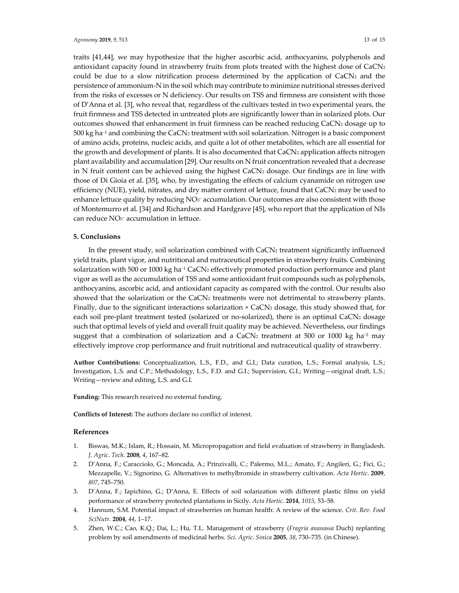traits [41,44], we may hypothesize that the higher ascorbic acid, anthocyanins, polyphenols and antioxidant capacity found in strawberry fruits from plots treated with the highest dose of CaCN2 could be due to a slow nitrification process determined by the application of  $CaCN<sub>2</sub>$  and the persistence of ammonium-N in the soil which may contribute to minimize nutritional stresses derived from the risks of excesses or N deficiency. Our results on TSS and firmness are consistent with those of D'Anna et al. [3], who reveal that, regardless of the cultivars tested in two experimental years, the fruit firmness and TSS detected in untreated plots are significantly lower than in solarized plots. Our outcomes showed that enhancement in fruit firmness can be reached reducing CaCN2 dosage up to 500 kg ha−1 and combining the CaCN2 treatment with soil solarization. Nitrogen is a basic component of amino acids, proteins, nucleic acids, and quite a lot of other metabolites, which are all essential for the growth and development of plants. It is also documented that CaCN2 application affects nitrogen plant availability and accumulation [29]. Our results on N fruit concentration revealed that a decrease in N fruit content can be achieved using the highest CaCN2 dosage. Our findings are in line with those of Di Gioia et al. [35], who, by investigating the effects of calcium cyanamide on nitrogen use efficiency (NUE), yield, nitrates, and dry matter content of lettuce, found that CaCN2 may be used to enhance lettuce quality by reducing NO<sub>3</sub><sup>-</sup> accumulation. Our outcomes are also consistent with those of Montemurro et al. [34] and Richardson and Hardgrave [45], who report that the application of NIs can reduce NO3− accumulation in lettuce.

#### **5. Conclusions**

In the present study, soil solarization combined with CaCN2 treatment significantly influenced yield traits, plant vigor, and nutritional and nutraceutical properties in strawberry fruits. Combining solarization with 500 or 1000 kg ha<sup>-1</sup> CaCN<sub>2</sub> effectively promoted production performance and plant vigor as well as the accumulation of TSS and some antioxidant fruit compounds such as polyphenols, anthocyanins, ascorbic acid, and antioxidant capacity as compared with the control. Our results also showed that the solarization or the  $CaCN<sub>2</sub>$  treatments were not detrimental to strawberry plants. Finally, due to the significant interactions solarization  $\times$  CaCN<sub>2</sub> dosage, this study showed that, for each soil pre-plant treatment tested (solarized or no-solarized), there is an optimal CaCN2 dosage such that optimal levels of yield and overall fruit quality may be achieved. Nevertheless, our findings suggest that a combination of solarization and a CaCN2 treatment at 500 or 1000 kg ha<sup>-2</sup> may effectively improve crop performance and fruit nutritional and nutraceutical quality of strawberry.

**Author Contributions:** Conceptualization, L.S., F.D., and G.I.; Data curation, L.S.; Formal analysis, L.S.; Investigation, L.S. and C.P.; Methodology, L.S., F.D. and G.I.; Supervision, G.I.; Writing—original draft, L.S.; Writing—review and editing, L.S. and G.I.

**Funding:** This research received no external funding.

**Conflicts of Interest:** The authors declare no conflict of interest.

#### **References**

- 1. Biswas, M.K.; Islam, R.; Hossain, M. Micropropagation and field evaluation of strawberry in Bangladesh. *J*. *Agric*. *Tech*. **2008**, *4*, 167–82.
- 2. D'Anna, F.; Caracciolo, G.; Moncada, A.; Prinzivalli, C.; Palermo, M.L.; Amato, F.; Angileri, G.; Fici, G.; Mezzapelle, V.; Signorino, G. Alternatives to methylbromide in strawberry cultivation. *Acta Hortic*. **2009**, *807*, 745–750.
- 3. D'Anna, F.; Iapichino, G.; D'Anna, E. Effects of soil solarization with different plastic films on yield performance of strawberry protected plantations in Sicily. *Acta Hortic.* **2014**, *1015*, 53–58.
- 4. Hannum, S.M. Potential impact of strawberries on human health: A review of the science. *Crit*. *Rev. Food SciNutr.* **2004**, *44*, 1–17.
- 5. Zhen, W.C.; Cao, K.Q.; Dai, L.; Hu, T.L. Management of strawberry (*Fragria ananassa* Duch) replanting problem by soil amendments of medicinal herbs. *Sci*. *Agric*. *Sinica* **2005**, *38*, 730–735. (in Chinese).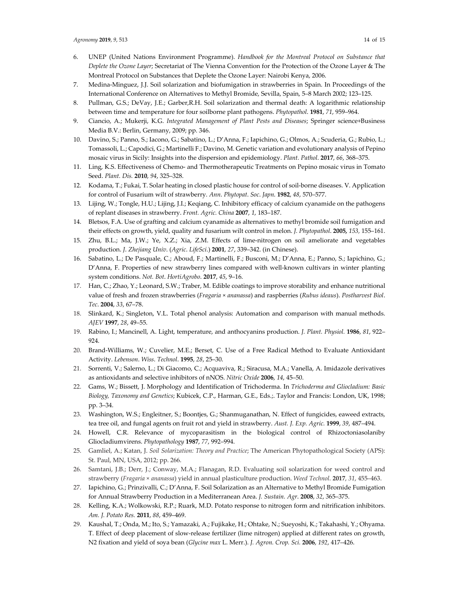- 6. UNEP (United Nations Environment Programme). *Handbook for the Montreal Protocol on Substance that Deplete the Ozone Layer*; Secretariat of The Vienna Convention for the Protection of the Ozone Layer & The Montreal Protocol on Substances that Deplete the Ozone Layer: Nairobi Kenya, 2006.
- 7. Medina-Minguez, J.J. Soil solarization and biofumigation in strawberries in Spain. In Proceedings of the International Conference on Alternatives to Methyl Bromide, Sevilla, Spain, 5–8 March 2002; 123–125.
- 8. Pullman, G.S.; DeVay, J.E.; Garber,R.H. Soil solarization and thermal death: A logarithmic relationship between time and temperature for four soilborne plant pathogens. *Phytopathol*. **1981**, *71*, 959–964.
- 9. Ciancio, A.; Mukerji, K.G. *Integrated Management of Plant Pests and Diseases*; Springer science+Business Media B.V.: Berlin, Germany, 2009; pp. 346.
- 10. Davino, S.; Panno, S.; Iacono, G.; Sabatino, L.; D'Anna, F.; Iapichino, G.; Olmos, A.; Scuderia, G.; Rubio, L.; Tomassoli, L.; Capodici, G.; Martinelli F.; Davino, M. Genetic variation and evolutionary analysis of Pepino mosaic virus in Sicily: Insights into the dispersion and epidemiology. *Plant. Pathol*. **2017**, *66*, 368–375.
- 11. Ling, K.S. Effectiveness of Chemo- and Thermotherapeutic Treatments on Pepino mosaic virus in Tomato Seed. *Plant. Dis.* **2010**, *94*, 325–328.
- 12. Kodama, T.; Fukai, T. Solar heating in closed plastic house for control of soil-borne diseases. V. Application for control of Fusarium wilt of strawberry. *Ann*. *Phytopat*. *Soc*. *Japn*. **1982**, *48*, 570–577.
- 13. Lijing, W.; Tongle, H.U.; Lijing, J.I.; Keqiang, C. Inhibitory efficacy of calcium cyanamide on the pathogens of replant diseases in strawberry. *Front. Agric. China* **2007**, *1*, 183–187.
- 14. Bletsos, F.A. Use of grafting and calcium cyanamide as alternatives to methyl bromide soil fumigation and their effects on growth, yield, quality and fusarium wilt control in melon. *J. Phytopathol*. **2005***, 153,* 155–161.
- 15. Zhu, B.L.; Ma, J.W.; Ye, X.Z.; Xia, Z.M. Effects of lime-nitrogen on soil ameliorate and vegetables production. *J*. *Zhejiang Univ*. (*Agric*. *LifeSci*.) **2001**, *27*, 339–342. (in Chinese).
- 16. Sabatino, L.; De Pasquale, C.; Aboud, F.; Martinelli, F.; Busconi, M.; D'Anna, E.; Panno, S.; Iapichino, G.; D'Anna, F. Properties of new strawberry lines compared with well-known cultivars in winter planting system conditions. *Not. Bot*. *HortiAgrobo*. **2017**, *45*, 9–16.
- 17. Han, C.; Zhao, Y.; Leonard, S.W.; Traber, M. Edible coatings to improve storability and enhance nutritional value of fresh and frozen strawberries (*Fragaria* × *ananassa*) and raspberries (*Rubus ideaus*). *Postharvest Biol*. *Tec*. **2004**, *33*, 67–78.
- 18. Slinkard, K.; Singleton, V.L. Total phenol analysis: Automation and comparison with manual methods. *AJEV* **1997**, *28*, 49–55.
- 19. Rabino, I.; Mancinell, A. Light, temperature, and anthocyanins production. *J. Plant. Physiol.* **1986**, *81*, 922– 924.
- 20. Brand-Williams, W.; Cuvelier, M.E.; Berset, C. Use of a Free Radical Method to Evaluate Antioxidant Activity. *Lebenson*. *Wiss*. *Technol*. **1995**, *28*, 25–30.
- 21. Sorrenti, V.; Salerno, L.; Di Giacomo, C.; Acquaviva, R.; Siracusa, M.A.; Vanella, A. Imidazole derivatives as antioxidants and selective inhibitors of nNOS. *Nitric Oxide* **2006**, *14*, 45–50.
- 22. Gams, W.; Bissett, J. Morphology and Identification of Trichoderma. In *Trichoderma and Gliocladium: Basic Biology, Taxonomy and Genetics*; Kubicek, C.P., Harman, G.E., Eds.;. Taylor and Francis: London, UK, 1998; pp. 3–34.
- 23. Washington, W.S.; Engleitner, S.; Boontjes, G.; Shanmuganathan, N. Effect of fungicides, eaweed extracts, tea tree oil, and fungal agents on fruit rot and yield in strawberry. *Aust. J. Exp. Agric.* **1999**, *39*, 487–494.
- 24. Howell, C.R. Relevance of mycoparasitism in the biological control of Rhizoctoniasolaniby Gliocladiumvirens. *Phytopathology* **1987**, *77*, 992–994.
- 25. Gamliel, A.; Katan, J. *Soil Solarization: Theory and Practice*; The American Phytopathological Society (APS): St. Paul, MN, USA, 2012; pp. 266.
- 26. Samtani, J.B.; Derr, J.; Conway, M.A.; Flanagan, R.D. Evaluating soil solarization for weed control and strawberry (*Fragaria* × *ananassa*) yield in annual plasticulture production. *Weed Technol*. **2017**, *31*, 455–463.
- 27. Iapichino, G.; Prinzivalli, C.; D'Anna, F. Soil Solarization as an Alternative to Methyl Bromide Fumigation for Annual Strawberry Production in a Mediterranean Area. *J. Sustain. Agr*. **2008**, *32*, 365–375.
- 28. Kelling, K.A.; Wolkowski, R.P.; Ruark, M.D. Potato response to nitrogen form and nitrification inhibitors. *Am. J. Potato Res.* **2011**, *88*, 459–469.
- 29. Kaushal, T.; Onda, M.; Ito, S.; Yamazaki, A.; Fujikake, H.; Ohtake, N.; Sueyoshi, K.; Takahashi, Y.; Ohyama. T. Effect of deep placement of slow-release fertilizer (lime nitrogen) applied at different rates on growth, N2 fixation and yield of soya bean (*Glycine max* L. Merr.). *J. Agron. Crop. Sci.* **2006**, *192*, 417–426.